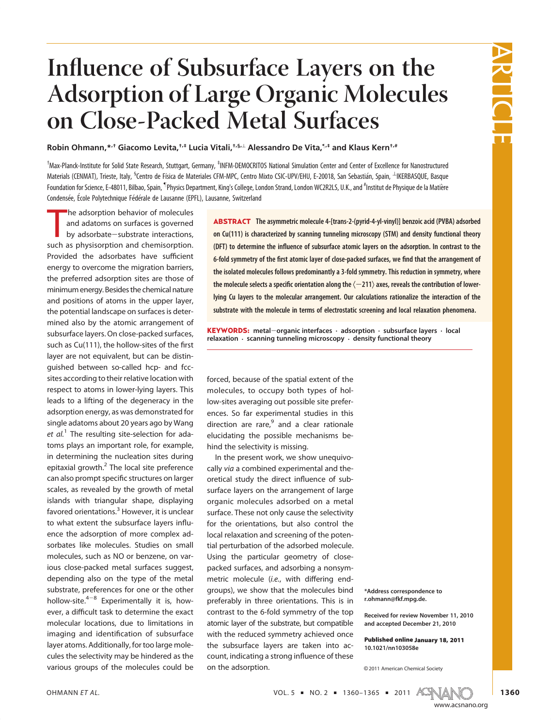

# Influence of Subsurface Layers on the Adsorption of Large Organic Molecules on Close-Packed Metal Surfaces

Robin Ohmann,\*<sup>,†</sup> Giacomo Levita,<sup>†,‡</sup> Lucia Vitali,<sup>†,§,⊥</sup> Alessandro De Vita,<sup>¶,‡</sup> and Klaus Kern<sup>†,#</sup>

<sup>†</sup>Max-Planck-Institute for Solid State Research, Stuttgart, Germany, <sup>‡</sup>INFM-DEMOCRITOS National Simulation Center and Center of Excellence for Nanostructured Materials (CENMAT), Trieste, Italy, <sup>§</sup>Centro de Física de Materiales CFM-MPC, Centro Mixto CSIC-UPV/EHU, E-20018, San Sebastián, Spain, <sup>⊥</sup>IKERBASQUE, Basque Foundation for Science, E-48011, Bilbao, Spain, <sup>¶</sup>Physics Department, King's College, London Strand, London WC2R2LS, U.K., and <sup>#</sup>Institut de Physique de la Matière Condensée, École Polytechnique Fédérale de Lausanne (EPFL), Lausanne, Switzerland

such as physisorption and chemisorption.<br>Provided the adsorbates have sufficient<br>energy to overcome the migration barriers, The adsorption behavior of molecules<br>and adatoms on surfaces is governed and adatoms on surfaces is government<br>by adsorbate-substrate interactions, Provided the adsorbates have sufficient the preferred adsorption sites are those of minimum energy. Besides the chemical nature and positions of atoms in the upper layer, the potential landscape on surfaces is determined also by the atomic arrangement of subsurface layers. On close-packed surfaces, such as  $Cu(111)$ , the hollow-sites of the first layer are not equivalent, but can be distin-<br>guished between so-called hcp- and fccsites according to their relative location with respect to atoms in lower-lying layers. This leads to a lifting of the degeneracy in the adsorption energy, as was demonstrated for single adatoms about 20 years ago by Wang  $\frac{1}{2}$  and  $\frac{1}{2}$  years ago by wanglet  $al$ .<sup>1</sup> The resulting site-selection for adatoms plays an important role, for example,<br>in determining the nucleation sites during epitaxial growth. $^2$  The local site preference epitaxial growth.<sup>2</sup> The local site preference can also prompt specific structures on larger scales, as revealed by the growth of metal<br>islands with triangular shape, displaying favored orientations. $3$  However, it is unclear ravored orientations. However, it is unclear<br>to what extent the subsurface layers influ-<br>case the adceration of more complex ad ence the adsorption of more complex adsorbates like molecules. Studies on small molecules, such as NO or benzene, on various close-packed metal surfaces suggest, depending also on the type of the metal substrate, preferences for one or the other hollow-site. $4^{-8}$  Experimentally it is, how-<br>aver a difficult task to determine the overt ever, a difficult task to determine the exact<br>molecular locations, due to limitations in imaging and identification of subsurface layer atoms. Additionally, for too large mole-<br>cules the selectivity may be hindered as the  $\frac{1}{2}$  culture of the malecules could be various groups of the molecules could be

ABSTRACT The asymmetric molecule 4-[trans-2-(pyrid-4-yl-vinyl)] benzoic acid (PVBA) adsorbed on Cu(111) is characterized by scanning tunneling microscopy (STM) and density functional theory (DFT) to determine the influence of subsurface atomic layers on the adsorption. In contrast to the 6-fold symmetry of the first atomic layer of close-packed surfaces, we find that the arrangement of the isolated molecules follows predominantly a 3-fold symmetry. This reduction in symmetry, where the molecule selects a specific orientation along the  $\langle -211 \rangle$  axes, reveals the contribution of lowerlying Cu layers to the molecular arrangement. Our calculations rationalize the interaction of the substrate with the molecule in terms of electrostatic screening and local relaxation phenomena.

**KEYWORDS:** metal-organic interfaces  $\cdot$  adsorption  $\cdot$  subsurface layers  $\cdot$  local relaxation • scanning tunneling microscopy • density functional theory

forced, because of the spatial extent of the<br>molecules, to occupy both types of hollow-sites averaging out possible site preferences. So far experimental studies in this direction are rare, $9$  and a clear rationale elucidating the possible mechanisms behind the selectivity is missing.

In the present work, we show unequivocally via a combined experimental and theoretical study the direct influence of sub-<br>surface layers on the arrangement of large organic molecules adsorbed on a metal surface. These not only cause the selectivity for the orientations, but also control the local relaxation and screening of the potential perturbation of the adsorbed molecule. Using the particular geometry of closepacked surfaces, and adsorbing a nonsympacked surfaces, and adsorbing a nonsym-<br>metric molecule (i.e., with differing end-<br>groups) we show that the molecules bind groups), we show that the molecules bind<br>preferably in three orientations. This is in contrast to the 6-fold symmetry of the top atomic layer of the substrate, but compatible with the reduced symmetry achieved once the subsurface layers are taken into account, indicating a strong influence of these on the adsorption.

\*Address correspondence to r.ohmann@fkf.mpg.de.

Received for review November 11, 2010 and accepted December 21, 2010

Published online January 18, 2011 10.1021/nn103058e

<sup>C</sup> 2011 American Chemical Society

OHMANN ET AL.  $\begin{array}{ccc} \text{VOL.5} & \text{NO.2} & \text{1360}-1365 & \text{2011} & \text{ACMAMO} & \text{1360} \\ \text{www.acsnano.org} & & & & \text{www.acsnano.org} \end{array}$ 

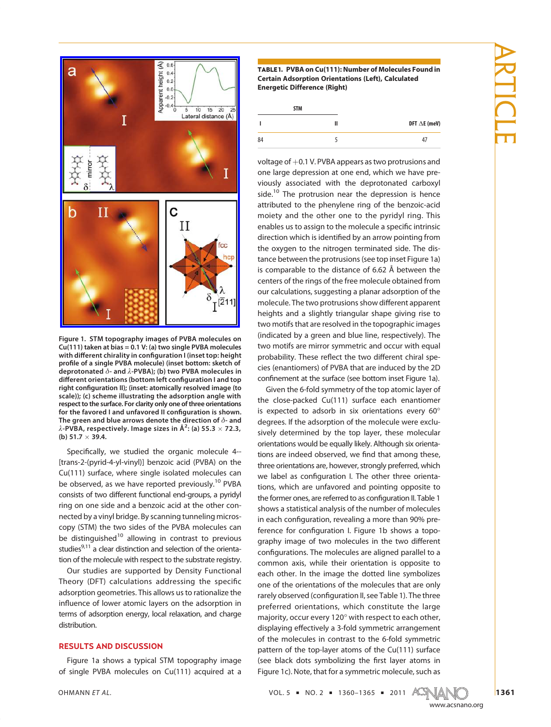

Figure 1. STM topography images of PVBA molecules on Cu(111) taken at bias = 0.1 V: (a) two single PVBA molecules with different chirality in configuration I (inset top: height profile of a single PVBA molecule) (inset bottom: sketch of deprotonated  $\delta$ - and  $\lambda$ -PVBA); (b) two PVBA molecules in different orientations (bottom left configuration I and top right configuration II); (inset: atomically resolved image (to scale)); (c) scheme illustrating the adsorption angle with respect to the surface. For clarity only one of three orientations for the favored I and unfavored II configuration is shown. The green and blue arrows denote the direction of  $\delta$ - and  $\lambda$ -PVBA, respectively. Image sizes in Å<sup>2</sup>: (a) 55.3  $\times$  72.3, (b)  $51.7 \times 39.4$ .

Specifically, we studied the organic molecule 4--<br>[trans-2-(pyrid-4-yl-vinyl)] benzoic acid (PVBA) on the  $Cu(111)$  surface, where single isolated molecules can be observed, as we have reported previously.<sup>10</sup> PVBA<br>consists of two different functional and groups a puridular consists of two different functional end-groups, a pyridyl nected by a vinyl bridge. By scanning tunneling microscopy (STM) the two sides of the PVBA molecules can be distinguished<sup>10</sup> allowing in contrast to previous studies<sup>9,11</sup> a clear distinction and selection of the orientation of the molecule with respect to the substrate registry.

Our studies are supported by Density Functional Theory (DFT) calculations addressing the specific<br>
Determine compatible This allows us to rationalize the and the correction geometries. This allows us to relate the adsorption in  $\frac{1}{2}$  the adsorption in  $\frac{1}{2}$  the adsorption in  $\frac{1}{2}$  the adsorption  $\frac{1}{2}$  of  $\frac{1}{2}$  the state of adsorption  $\frac{1}{2}$  the state terms of adsorption energy, local relaxation, and charge distribution.

### RESULTS AND DISCUSSION

 $F = \frac{1}{2}$  shows a typical  $F = \frac{1}{2}$  shows a typical state of  $F = \frac{1}{2}$  shows a typical state of  $F = \frac{1}{2}$ of single PVBA molecules on Cu(111) acquired at a

TABLE 1. PVBA on Cu(111): Number of Molecules Found in Certain Adsorption Orientations (Left), Calculated Energetic Difference (Right)

| <b>STM</b> |  |                      |
|------------|--|----------------------|
|            |  | DFT $\Delta$ E (meV) |
| 84         |  | Δ7                   |
|            |  |                      |

voltage of  $+0.1$  V. PVBA appears as two protrusions and one large depression at one end, which we have previously associated with the deprotonated carboxyl side.<sup>10</sup> The protrusion near the depression is hence attributed to the phenylene ring of the benzoic-acid moiety and the other one to the pyridyl ring. This enables us to assign to the molecule a specific intrinsic<br>direction which is identified by an arrow pointing from direction which is identified by an arrow pointing from<br>the oxygen to the nitrogen terminated side. The distance between the protrusions (see top inset Figure 1a) is comparable to the distance of 6.62 Å between the centers of the rings of the free molecule obtained from our calculations, suggesting a planar adsorption of the molecule. The two protrusions show different apparent<br>hoights, and a slightly triangular shape giving rise to heights and a slightly triangular shape giving rise to two motifs that are resolved in the topographic images (indicated by a green and blue line, respectively). The two motifs are mirror symmetric and occur with equal probability. These reflect the two different chiral spe-<br>sise (epentiomers) of  $DVB$  that are induced by the 3D cies (see bottom inset Figure 1a).<br>
Confinement at the surface (see bottom inset Figure 1a).

Given the 6-fold symmetry of the top atomic layer of the close-packed Cu(111) surface each enantiomer is expected to adsorb in six orientations every  $60^\circ$ <br>degrees if the adsorption of the melocule were evely degrees. If the adsorption of the molecule were exclu-<br>sively determined by the top layer, these molecular orientations would be equally likely. Although six orientations are indeed observed, we find that among these,<br>three exientations are houses of translational units we label as configuration I. The other three orienta-<br>tions which are unfavored and pointing opposite to the former ones, are referred to as configuration II. Table 1 in each configuration, revealing a more than 90% pre-<br>ference for configuration,  $\frac{1}{2}$  Figure 1b chours a tope ference for configuration I. Figure 1b shows a topography image of two molecules in the two different configurations. The molecules are aligned parallel to a common axis, while their orientation is opposite to each other. In the image the dotted line symbolizes one of the orientations of the molecules that are only rarely observed (configuration II, see Table 1). The three<br>proferred exientations which constitute the large preferred orientations, which constitute the largest majority, occur every 120° with respect to each other, it<br>displaying offertively a 2-fold symmetric arrangement with respectively a 3-fold symmetric arrangement<br>displaying effectively a 3-fold symmetric arrangement of the molecules in contrast to the 6-fold symmetric pattern of the top-layer atoms of the  $Cu(111)$  surface pattern of the top-layer atoms in the top-layer atoms in the Current Layer atoms in the Current of the Current Current Current Current Current Current Current Current Current Current Current Current Current Current Current Figure 1c). Note, that for a symmetric molecule, such as

ARTICLE

OHMANN ET AL.  $\text{VOL.5} \cdot \text{NO. 2} = 1360-1365 = 2011 \text{ ACM} \cdot \text{W} \cdot \text{M} \cdot \text{O} \cdot \text{1361}$ 

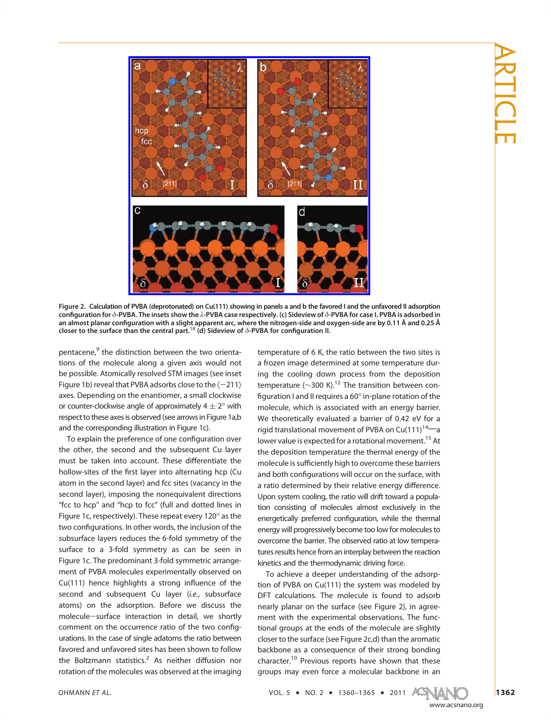

Figure 2. Calculation of PVBA (deprotonated) on Cu(111) showing in panels a and b the favored I and the unfavored II adsorption configuration for δ-PVBA. The insets show the λ-PVBA case respectively. (c) Sideview of δ-PVBA for case I. PVBA is adsorbed in an almost planar configuration with a slight apparent arc, where the nitrogen-side and oxygen-side are by 0.11 Å and 0.25 Å closer to the surface than the central part.<sup>18</sup> (d) Sideview of  $\delta$ -PVBA for configuration II.

pentacene, $9$  the distinction between the two orientations of the molecule along a given axis would not be possible. Atomically resolved STM images (see inset Figure 1b) reveal that PVBA adsorbs close to the  $\langle -211 \rangle$ axes. Depending on the enanties of approximately  $4 \pm 2^{\circ}$  with the enant of the enanties angle of approximately  $4 \pm 2^{\circ}$  with the enant of local stress angle of approximately  $4 \pm 2^{\circ}$ respect to these axes is observed (see arrows in Figure 1a,b and the corresponding illustration in Figure 1c).

To explain the preference of one configuration over<br>the other, the cocord and the subsequent Cu layer must be taken into account. These differentiate the subsequent Cu layer into a counter of the subsequent Cu layer  $\epsilon$ hollow-sites of the first layer into alternating hcp (Cu atom in the second layer) and fcc sites (vacancy in the second layer), imposing the nonequivalent directions second layer), imposing the nonequivalent directions "fcc to hcp" and "hcp to fcc" (full and dotted lines in Figure 1c, respectively). These repeat every  $120^\circ$  as the two configurations. In other words, the inclusion of the subsurface layers reduces the  $\epsilon$  field summatry of the subsurface layers reduces the 6-fold symmetry of the surface to a 3-fold symmetry as can be seen in Figure 1c. The predominant 3-fold symmetric arrangement of PVBA molecules experimentally observed on  $Cu(111)$  hence highlights a strong influence of the correct one of the correct one of the content second and subsequent Cu layer (i.e., subsurface atoms) on the adsorption. Before we discuss the molecule–surface interaction in detail, we shortly<br>comment on the accurrence ratio of the two sepfici comment on the occurrence ratio of the two configurations. In the case of single adatoms the ratio between favored and unfavored sites has been shown to follow the Boltzmann statistics.<sup>2</sup> As neither diffusion nor rotation of the molecules was observed at the imaging

temperature of 6 K, the ratio between the two sites is a frozen image determined at some temperature during the cooling down process from the deposition temperature ( $\sim$ 300 K).<sup>12</sup> The transition between contemperature (∼300 K). 11 The transition between con-<br>figuration I and II requires a 60° in-plane rotation of the<br>malagula which is associated with an anamy berrier molecule, which is associated with an energy barrier. We theoretically evaluated a barrier of 0.42 eV for a rigid translational movement of PVBA on  $Cu(111)^{14}$   $-a$ <br>lower value is evaluated for a ratational movement <sup>15</sup>. lower value is expected for a rotational movement.<sup>15</sup> At the deposition temperature the thermal energy of the molecule is sufficiently high to overcome these barriers<br>and both configurations will get us on the surface with and both configurations will occur on the surface, with a ratio determined by their relative energy difference.<br>Upon system cooling, the ratio will drift toward a population consisting of molecules almost exclusively in the energetically preferred configuration, while the thermal energy will progressively become too low for molecules to<br>overcome the barrier. The observed ratio at low temperatures results hence from an interplay between the reaction kinetics and the thermodynamic driving force.

To achieve a deeper understanding of the adsorption of PVBA on Cu(111) the system was modeled by DFT calculations. The molecule is found to adsorb nearly planar on the surface (see Figure 2), in agreement with the experimental observations. The functional groups at the ends of the molecule are slightly closer to the surface (see Figure 2c,d) than the aromatic backbone as a consequence of their strong bonding character.<sup>10</sup> Previous reports have shown that these character. 10 Previous reports have shown that these<br>There was over force a molecular backbone in an groups may even force a molecular backbone in an

OHMANN ET AL.  $\text{VOL. 5} \cdot \text{NO. 2} \cdot \text{1360} - 1365 \cdot \text{2011} \quad \text{A} \cdot \text{O} \cdot \text{N} \cdot \text{O} \cdot \text{1362}$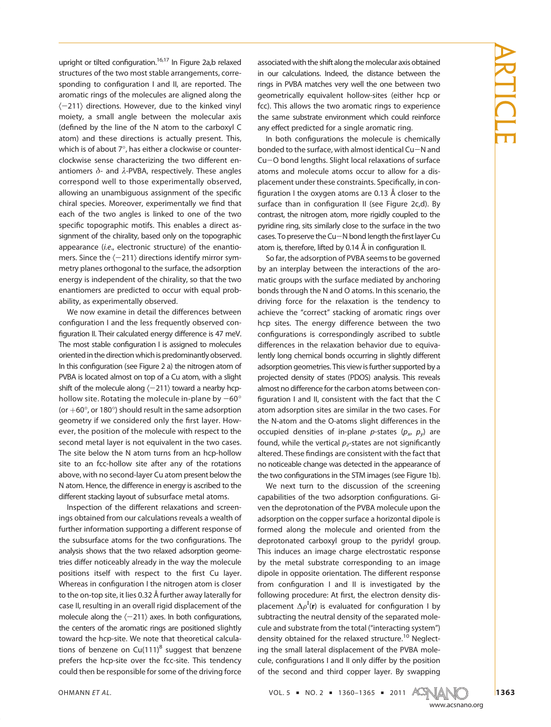upright or tilted configuration.<sup>16,17</sup> In Figure 2a,b relaxed structures of the two most stable arrangements, corresponding to configuration I and II, are reported. The arcmatic sings of the molecules are aligned along the  $\langle -211 \rangle$  directions. However, due to the kinked vinyl<br>molecules a small angle between the molecular avial (defined by the line of the N atom to the carboxyl C<br>
(defined by the line of the N atom to the carboxyl C which is of about  $7^\circ$ , has either a clockwise or counter-<br>clockwise capea characterizing the two different on clockwise sense characterizing the two different en-<br>continuous  $\lambda$  and  $\lambda$  DVPA, reconstituely. These angles antiomers  $δ$ - and  $λ$ -PVBA, respectively. These angles correspond well to those experimentally observed, allowing an unambiguous assignment of the specific<br>chiral species, Mercouse, experimentally use find that chiral species. Moreover, experimentally we find that each of the two angles is linked to one of the two specific topographic motifs. This enables a direct as-<br>signment of the chirality based only on the topographic signment of the chirality, based on the topographic<br>appearance (i.e., electronic structure) of the enantio-<br>more since the  $($ , 211) directions identify mirror sum mers. Since the  $\langle -211 \rangle$  directions identify mirror symmetry planes orthogonal to the surface, the adsorption energy is independent of the chirality, so that the two enantiomers are predicted to occur with equal probability, as experimentally observed.

We now examine in detail the differences between configuration I and the less frequently observed configuration II. Their calculated energy difference is 47 meV. The most stable configuration I is assigned to molecules oriented in the direction which is predominantly observed. In this configuration (see Figure 2 a) the nitrogen atom of  $DVB$  is located almost on top of a Guistam with a slight shift of the molecule along  $\langle -211 \rangle$  toward a nearby hcp-<br>hellow site. Betating the molecule in plane by  $-60^\circ$ hollow site. Rotating the molecule in-plane by  $-60^{\circ}$ <br>(ex. 1608, ex.1808) should result in the same adsorption (or  $+60^{\circ}$ , or  $180^{\circ}$ <br>geomotry if we all  $\frac{1}{2}$  geometry if we considered only the first layer. How-<br>geometry if we considered only the first layer. However, the position of the molecule with respect to the second metal layer is not equivalent in the two cases. The site below the N atom turns from an hcp-hollow site to an fcc-hollow site after any of the rotations above, with no second-layer Cu atom present below the N atom. Hence, the difference in energy is ascribed to the<br>different stacking byout of subsurface motal atoms different stacking layout of subsurface metal atoms.

Inspection of the different relaxations and screen-<br>ings obtained from our calculations reveals a wealth of ing the information supporting a different response of<br>the subsurface at me for the two configurations. The the subsurface atoms for the two configurations. The analysis shows that the two relaxed adsorption geometries differ noticeably already in the way the molecule<br>positions itself with respect to the first Cullaver positions itself with respect to the first Cu layer. Whereas in configuration I the nitrogen atom is closer<br>to the on-top site, it lies 0.32 Å further away laterally for case II, resulting in an overall rigid displacement of the molecule along the  $\langle -211 \rangle$  axes. In both configurations,<br>the contexe of the aromatic rings are positioned clinically the centers of the aromatic rings are positioned slightly toward the hcp-site. We note that theoretical calculations of hoppens on  $Cu(1111)^8$  suggest that hoppens tions of benzene on Cu(111) suggest that benzene<br>profers the ben site over the for site. This tendency  $p$ could then be responsible for some of the driving force

associated with the shift along the molecular axis obtained<br>in our calculations. Indeed, the distance between the rings in PVBA matches very well the one between two geometrically equivalent hollow-sites (either hcp or fcc). This allows the two aromatic rings to experience the same substrate environment which could reinforce any effect predicted for a single aromatic ring.<br>In hoth conformations the molecule is shomically

In both configurations the molecule is chemically bonded to the surface, with almost identical Cu-N and Cu-O bond lengths. Slight local relaxations of surface atoms and molecule atoms occur to allow for a displacement under these constraints. Specifically, in con-<br>fouration I the overage atoms are 0.12  $\stackrel{1}{\&}$  closes to the figuration I the oxygen atoms are 0.13 Å closer to the surface than in configuration II (see Figure 2c,d). By contrast, the nitrogen atom, more rigidly coupled to the pyridine ring, sits similarly close to the surface in the two py<br>cases. To preserve the Cu—N bond length the first layer Cu<br>atom is therefore lifted by 0.14 Å in confounction ll atom is, therefore, lifted by 0.14 Å in configuration II.<br>So far, the adsorption of PVBA seems to be governed

by an interplay between the interactions of the aromatic groups with the surface mediated by anchoring bonds through the N and O atoms. In this scenario, the driving force for the relaxation is the tendency to achieve the "correct" stacking of aromatic rings over<br>hen sites. The energy difference between the two hcp sites. The energy difference between the two configurations is correspondingly ascribed to subtle differences in the relaxation behavior due to equivalently long chemical bonds occurring in slightly different adsorption geometries. This view is further supported by a projected density of states (PDOS) analysis. This reveals projected almost no difference for the carbon atoms between con-<br>figuration Land II, consistent with the fact that the C figuration I and II, consistent with the fact that the C the N-atom and the O-atoms slight differences in the occurried densities of in plane a states  $(n, n)$  are occupied densities of in-plane p-states  $(p_x, p_y)$  are found, while the vertical  $p_z$ -states are not significantly altered. These findings are consistent with the fact that no noticeable change was detected in the appearance of the two configurations in the STM images (see Figure 1b).<br>We noy t turn to the discussion of the screening

capabilities of the two adsorption configurations.  $G<sub>i</sub>$ ven the deprotonation of the PVBA molecule upon the adsorption on the copper surface a horizontal dipole is formed along the molecule and oriented from the deprotonated carboxyl group to the pyridyl group. This induces an image charge electrostatic response by the metal substrate corresponding to an image by the metal substrate correction. The different response<br>dipole in opposite orientation. The different response from configuration I and II is investigated by the following procedure: At first, the electron density displacement  $\Delta \rho^{\mathrm{T}}(\mathbf{r})$  is evaluated for configuration I by cule and substrate from the total ("interacting system")<br>density obtained for the selayed structure<sup>10</sup> Neglect density obtained for the relaxed structure.<sup>10</sup> Neglecting the small lateral displacement of the PVBA molecule, configurations I and II only differ by the position<br>of the second-and third senner layer. By sympaton of the second and third copper layer. By swapping

ARTICLE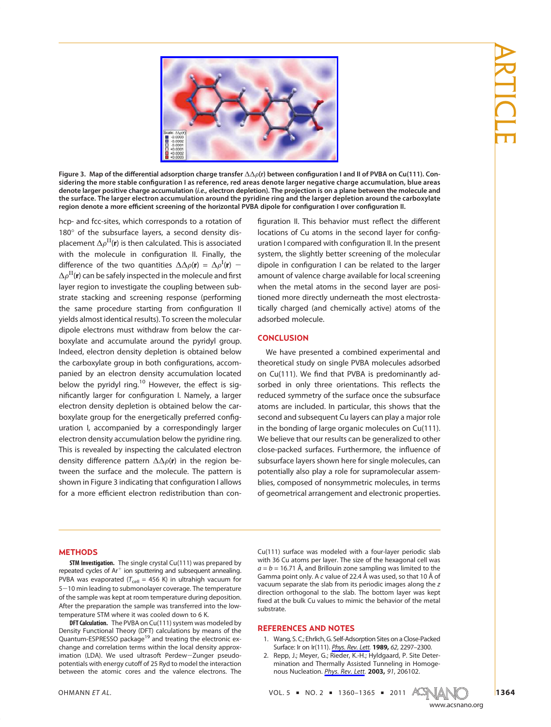

Figure 3. Map of the differential adsorption charge transfer  $\Delta\Delta\rho(r)$  between configuration I and II of PVBA on Cu(111). Considering the more stable configuration I as reference, red areas denote larger negative charge accumulation, blue areas denote larger positive charge accumulation (i.e., electron depletion). The projection is on a plane between the molecule and the surface. The larger electron accumulation around the pyridine ring and the larger depletion around the carboxylate region denote a more efficient screening of the horizontal PVBA dipole for configuration I over configuration II.

180° of the subsurface layers, a second density dis-<br>nlacement  $A \xrightarrow{\text{H}}$  is then calculated. This is associated placement  $\Delta \rho^{\text{II}}(\mathbf{r})$  is then calculated. This is associated with the malacula in configuration  $\parallel$ . Finally, then with the molecule in configuration II. Finally, the difference of the two quantities  $\Delta\Delta\rho(\mathbf{r}) = \Delta\rho^{\mathrm{T}}(\mathbf{r}) - \Delta\rho^{\mathrm{T}}(\mathbf{r})$  can be originated in the molecule and first  $\Delta \rho^{\text{II}}(\mathbf{r})$  can be safely inspected in the molecule and first layer region to investigate the coupling between substrate stacking and screening response (performing the same procedure starting from configuration II<br>the same procedure starting from configuration II yields almost identical results). To screen the molecular boxylate and accumulate around the pyridyl group. Indeed, electron density depletion is obtained below the carboxylate group in both configurations, accom-<br>panied by an electron deprity accumulation located below the pyridyl ring.<sup>10</sup> However, the effect is sig-<br>pificantly larger for configuration lolamely a larger nificantly larger for configuration I. Namely, a larger electron density depletion is obtained below the carboxylate group for the energetically preferred config-<br>boxylate group for the energetically preferred configuration I, accompanied by a correspondingly larger<br>electron density accumulation below the pyridine ring. This is revealed by inspecting the calculated electron density difference pattern  $\Delta\Delta\rho(\mathbf{r})$  in the region be-<br>tween the curface and the melocula. The pattern is shown in Figure 3 indicating that configuration I allows<br>for a more efficient electron redistribution than confor a more efficient electron redistribution than configuration II. This behavior must reflect the different locations of Cu atoms in the second layer for configuration I compared with configuration II. In the present system, the slightly better screening of the molecular system, the sum principal can be related to the larger<br>dipole in configuration I can be related to the larger amount of valence charge available for local screening<br>when the metal atoms in the second layer are positioned more directly underneath the most electrostatically charged (and chemically active) atoms of the adsorbed molecule.

# **CONCLUSION**

We have presented a combined experimental and theoretical study on single PVBA molecules adsorbed theoretical study on Cu(111). We find that PVBA is predominantly ad-<br>sorbed in only three orientations. This reflects the sorbed in only three orientations. This reflects the reduced symmetry of the surface once the subsurface atoms are included. In particular, this shows that the second and subsequent Cu layers can play a major role in the bonding of large organic molecules on Cu(111). We believe that our results can be generalized to other close-packed surfaces. Furthermore, the influence of<br>close-packed surfaces. Furthermore, the influence of subsurface layers shown here for single molecules, can<br>potentially also play a role for supramolecular assemblies, composed of nonsymmetric molecules, in terms  $\epsilon$  composition of a composed of  $\epsilon$  models, in the symmetric molecules, in the symmetric molecules, in the symmetric molecules, in the symmetric molecules,  $\epsilon$ of geometrical arrangement and electronic properties.

#### **METHODS**

repeated cycles of Ar<sup>+</sup> ion sputtering and subsequent annealing.<br>PVRA was evaporated  $(T_0 = 456 \text{ K})$  in ultrabigh vacuum for PVBA was evaporated ( $T_{cell}$  = 456 K) in ultrahigh vacuum for 5-10 min leading to submonolayer coverage. The temperature of the sample was kept at room temperature during deposition. After the preparation the sample was transferred into the lowtemperature STM where it was cooled down to 6 K.

DFT Calculation. The PVBA on Cu(111) system was modeled by Density Functional Theory (DFT) calculations by means of the Density Functional Theory (DFT) calculations by means of the<br>Quantum-ESPRESSO package<sup>19</sup> and treating the electronic exchange and correlation terms within the local density approximation (LDA). We used ultrasoft Perdew-Zunger pseudo-<br>instantials with energy cutoff of 25 Byd to model the interaction potentials with energy cutoff of 25 Ryd to model the interaction

Cu(111) surface was modeled with a four-layer periodic slab  $a = b = 16.71$  Å, and Brillouin zone sampling was limited to the damma point only A c value of 22.4 Å was used so that 10 Å of Gamma point only. A c value of 22.4 Å was used, so that 10 Å of vacuum separate the slab from its periodic images along the z direction orthogonal to the slab. The bottom layer was kept fixed at the bulk Cu values to mimic the behavior of the metal substrate.

## REFERENCES AND NOTES

- 1. Wang, S. C.; Ehrlich, G. Self-Adsorption Sites on a Close-Packed<br>Surface: Ir on Ir(111). *Phys. Rev. Lett.* **1989**, 62, 2297–2300.
- 2. Repp, J.; Meyer, G.; Rieder, K.-H.; Hyldgaard, P. Site Determination and Thermally Assisted Tunneling in Homogemination and Thermally Assisted Tunneling in Homoger<br>nous Nucleation. *Phys. Rev. Lett.* 2003, 91, 206102.